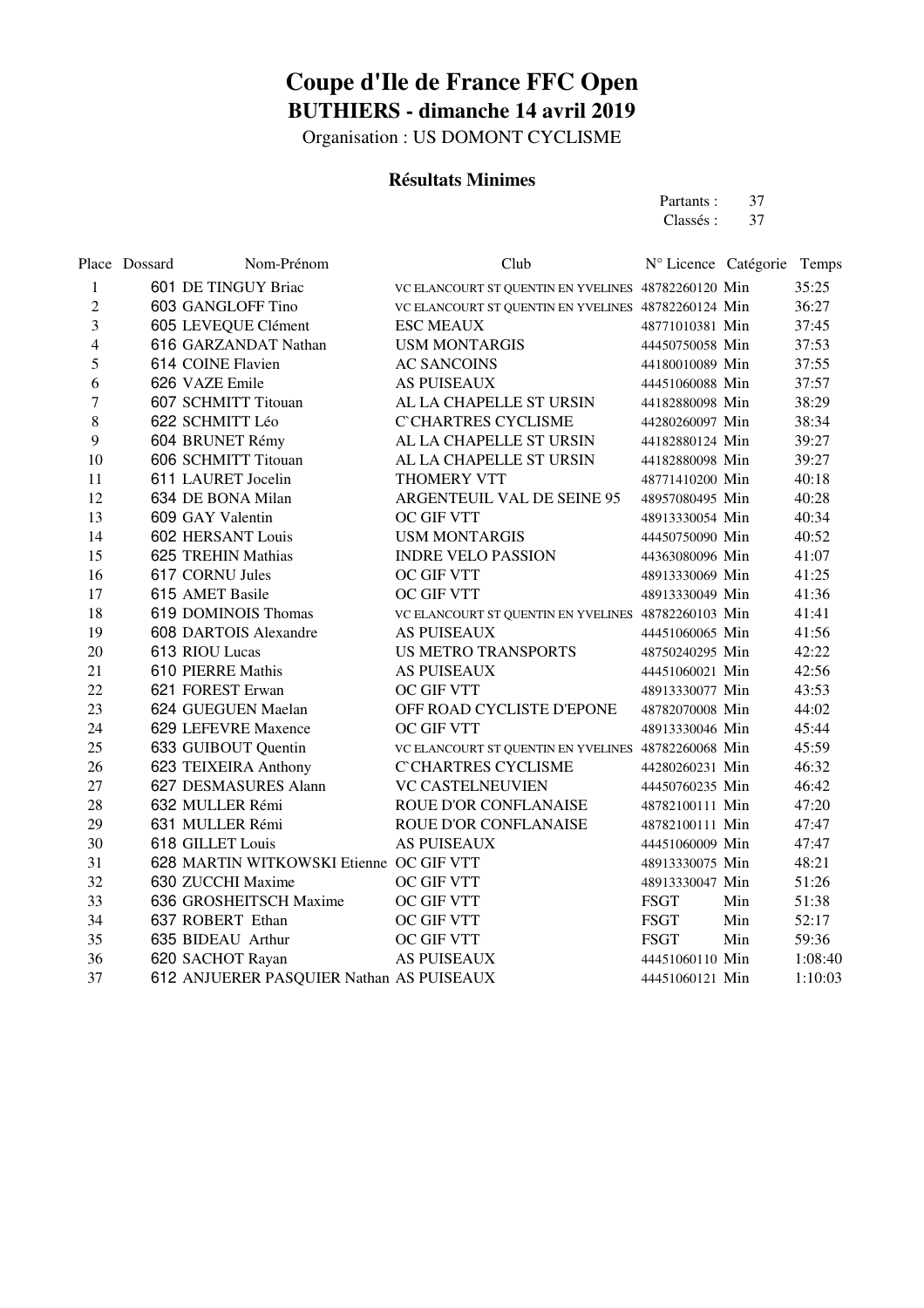Organisation : US DOMONT CYCLISME

#### **Résultats Minimes**

Partants : 37<br>Classés : 37 Classés :

|        | Place Dossard | Nom-Prénom                               | Club                                                | N° Licence Catégorie Temps |     |         |
|--------|---------------|------------------------------------------|-----------------------------------------------------|----------------------------|-----|---------|
| 1      |               | 601 DE TINGUY Briac                      | VC ELANCOURT ST QUENTIN EN YVELINES 48782260120 Min |                            |     | 35:25   |
| 2      |               | 603 GANGLOFF Tino                        | VC ELANCOURT ST QUENTIN EN YVELINES 48782260124 Min |                            |     | 36:27   |
| 3      |               | 605 LEVEQUE Clément                      | <b>ESC MEAUX</b>                                    | 48771010381 Min            |     | 37:45   |
| 4      |               | 616 GARZANDAT Nathan                     | <b>USM MONTARGIS</b>                                | 44450750058 Min            |     | 37:53   |
| 5      |               | 614 COINE Flavien                        | <b>AC SANCOINS</b>                                  | 44180010089 Min            |     | 37:55   |
| 6      |               | 626 VAZE Emile                           | <b>AS PUISEAUX</b>                                  | 44451060088 Min            |     | 37:57   |
| $\tau$ |               | 607 SCHMITT Titouan                      | AL LA CHAPELLE ST URSIN                             | 44182880098 Min            |     | 38:29   |
| 8      |               | 622 SCHMITT Léo                          | <b>C'CHARTRES CYCLISME</b>                          | 44280260097 Min            |     | 38:34   |
| 9      |               | 604 BRUNET Rémy                          | AL LA CHAPELLE ST URSIN                             | 44182880124 Min            |     | 39:27   |
| 10     |               | 606 SCHMITT Titouan                      | AL LA CHAPELLE ST URSIN                             | 44182880098 Min            |     | 39:27   |
| 11     |               | 611 LAURET Jocelin                       | THOMERY VTT                                         | 48771410200 Min            |     | 40:18   |
| 12     |               | 634 DE BONA Milan                        | ARGENTEUIL VAL DE SEINE 95                          | 48957080495 Min            |     | 40:28   |
| 13     |               | 609 GAY Valentin                         | OC GIF VTT                                          | 48913330054 Min            |     | 40:34   |
| 14     |               | <b>602 HERSANT Louis</b>                 | <b>USM MONTARGIS</b>                                | 44450750090 Min            |     | 40:52   |
| 15     |               | 625 TREHIN Mathias                       | <b>INDRE VELO PASSION</b>                           | 44363080096 Min            |     | 41:07   |
| 16     |               | 617 CORNU Jules                          | OC GIF VTT                                          | 48913330069 Min            |     | 41:25   |
| 17     |               | 615 AMET Basile                          | <b>OC GIF VTT</b>                                   | 48913330049 Min            |     | 41:36   |
| 18     |               | 619 DOMINOIS Thomas                      | VC ELANCOURT ST QUENTIN EN YVELINES 48782260103 Min |                            |     | 41:41   |
| 19     |               | 608 DARTOIS Alexandre                    | <b>AS PUISEAUX</b>                                  | 44451060065 Min            |     | 41:56   |
| 20     |               | 613 RIOU Lucas                           | <b>US METRO TRANSPORTS</b>                          | 48750240295 Min            |     | 42:22   |
| 21     |               | 610 PIERRE Mathis                        | <b>AS PUISEAUX</b>                                  | 44451060021 Min            |     | 42:56   |
| 22     |               | 621 FOREST Erwan                         | <b>OC GIF VTT</b>                                   | 48913330077 Min            |     | 43:53   |
| 23     |               | 624 GUEGUEN Maelan                       | OFF ROAD CYCLISTE D'EPONE                           | 48782070008 Min            |     | 44:02   |
| 24     |               | 629 LEFEVRE Maxence                      | OC GIF VTT                                          | 48913330046 Min            |     | 45:44   |
| 25     |               | 633 GUIBOUT Quentin                      | VC ELANCOURT ST QUENTIN EN YVELINES 48782260068 Min |                            |     | 45:59   |
| 26     |               | 623 TEIXEIRA Anthony                     | <b>C'CHARTRES CYCLISME</b>                          | 44280260231 Min            |     | 46:32   |
| 27     |               | 627 DESMASURES Alann                     | <b>VC CASTELNEUVIEN</b>                             | 44450760235 Min            |     | 46:42   |
| 28     |               | 632 MULLER Rémi                          | <b>ROUE D'OR CONFLANAISE</b>                        | 48782100111 Min            |     | 47:20   |
| 29     |               | 631 MULLER Rémi                          | ROUE D'OR CONFLANAISE                               | 48782100111 Min            |     | 47:47   |
| 30     |               | 618 GILLET Louis                         | <b>AS PUISEAUX</b>                                  | 44451060009 Min            |     | 47:47   |
| 31     |               | 628 MARTIN WITKOWSKI Etienne OC GIF VTT  |                                                     | 48913330075 Min            |     | 48:21   |
| 32     |               | 630 ZUCCHI Maxime                        | OC GIF VTT                                          | 48913330047 Min            |     | 51:26   |
| 33     |               | 636 GROSHEITSCH Maxime                   | OC GIF VTT                                          | <b>FSGT</b>                | Min | 51:38   |
| 34     |               | 637 ROBERT Ethan                         | OC GIF VTT                                          | <b>FSGT</b>                | Min | 52:17   |
| 35     |               | 635 BIDEAU Arthur                        | OC GIF VTT                                          | <b>FSGT</b>                | Min | 59:36   |
| 36     |               | 620 SACHOT Rayan                         | <b>AS PUISEAUX</b>                                  | 44451060110 Min            |     | 1:08:40 |
| 37     |               | 612 ANJUERER PASQUIER Nathan AS PUISEAUX |                                                     | 44451060121 Min            |     | 1:10:03 |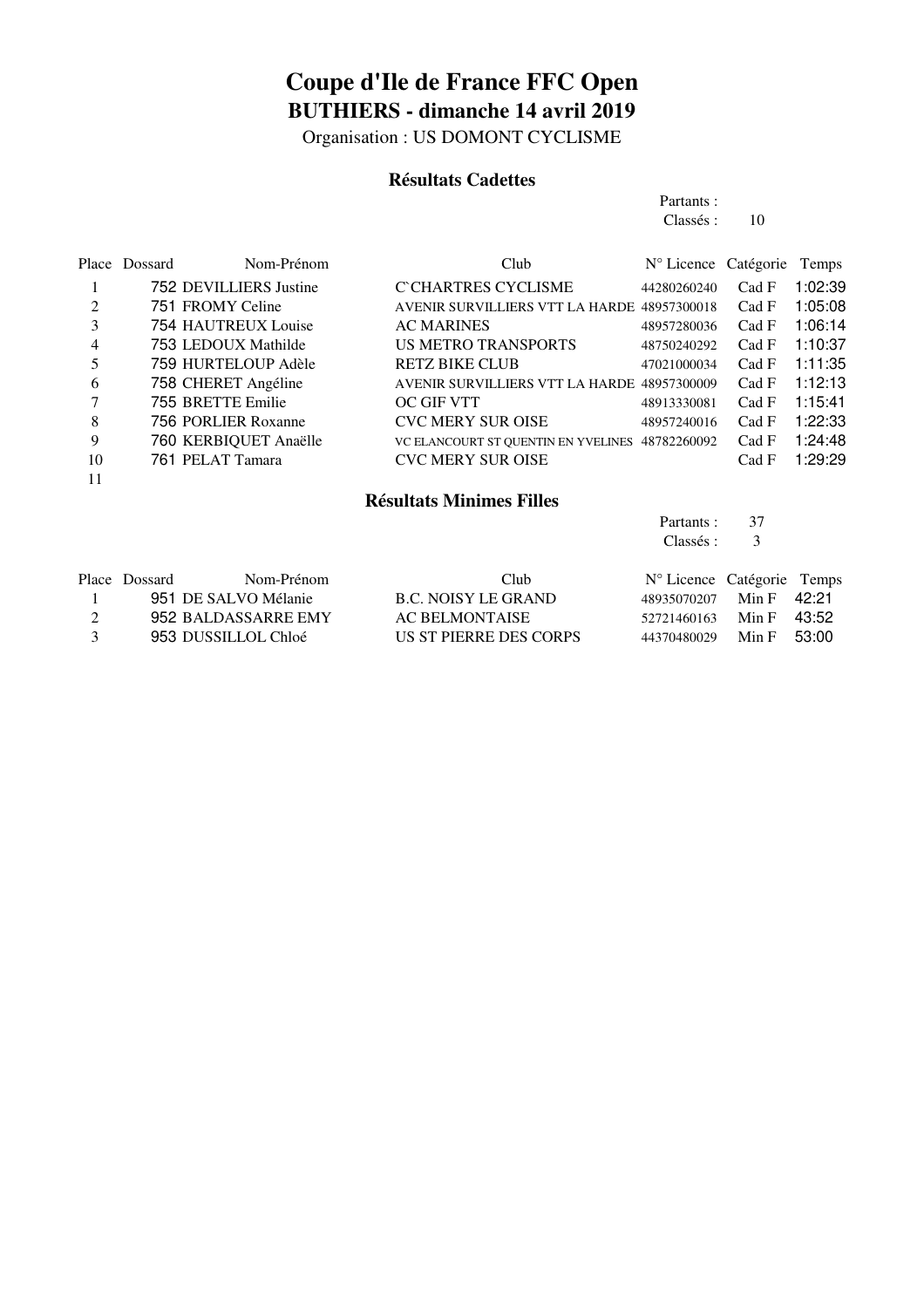Organisation : US DOMONT CYCLISME

#### **Résultats Cadettes**

| Partants: |    |
|-----------|----|
| Classés : | 10 |
|           |    |

|    | Place Dossard | Nom-Prénom             | Club                                            | N° Licence Catégorie |       | Temps   |
|----|---------------|------------------------|-------------------------------------------------|----------------------|-------|---------|
|    |               | 752 DEVILLIERS Justine | C CHARTRES CYCLISME                             | 44280260240          | Cad F | 1:02:39 |
| 2  |               | 751 FROMY Celine       | AVENIR SURVILLIERS VTT LA HARDE 48957300018     |                      | Cad F | 1:05:08 |
| 3  |               | 754 HAUTREUX Louise    | <b>AC MARINES</b>                               | 48957280036          | Cad F | 1:06:14 |
| 4  |               | 753 LEDOUX Mathilde    | <b>US METRO TRANSPORTS</b>                      | 48750240292          | Cad F | 1:10:37 |
| 5  |               | 759 HURTELOUP Adèle    | <b>RETZ BIKE CLUB</b>                           | 47021000034          | Cad F | 1:11:35 |
| 6  |               | 758 CHERET Angéline    | AVENIR SURVILLIERS VTT LA HARDE 48957300009     |                      | Cad F | 1:12:13 |
|    |               | 755 BRETTE Emilie      | <b>OC GIF VTT</b>                               | 48913330081          | Cad F | 1:15:41 |
| 8  |               | 756 PORLIER Roxanne    | <b>CVC MERY SUR OISE</b>                        | 48957240016          | Cad F | 1:22:33 |
| 9  |               | 760 KERBIQUET Anaëlle  | VC ELANCOURT ST QUENTIN EN YVELINES 48782260092 |                      | Cad F | 1:24:48 |
| 10 |               | 761 PELAT Tamara       | <b>CVC MERY SUR OISE</b>                        |                      | Cad F | 1:29:29 |
| 11 |               |                        |                                                 |                      |       |         |

#### **Résultats Minimes Filles**

|   |               |                      |                        | Partants :                 | 37    |       |
|---|---------------|----------------------|------------------------|----------------------------|-------|-------|
|   |               |                      |                        | Classés :                  | 3     |       |
|   | Place Dossard | Nom-Prénom           | Club                   | N° Licence Catégorie Temps |       |       |
|   |               | 951 DE SALVO Mélanie | B.C. NOISY LE GRAND    | 48935070207                | Min F | 42.21 |
| 2 |               | 952 BALDASSARRE EMY  | <b>AC BELMONTAISE</b>  | 52721460163                | Min F | 43:52 |
|   |               | 953 DUSSILLOL Chloé  | US ST PIERRE DES CORPS | 44370480029                | Min F | 53:00 |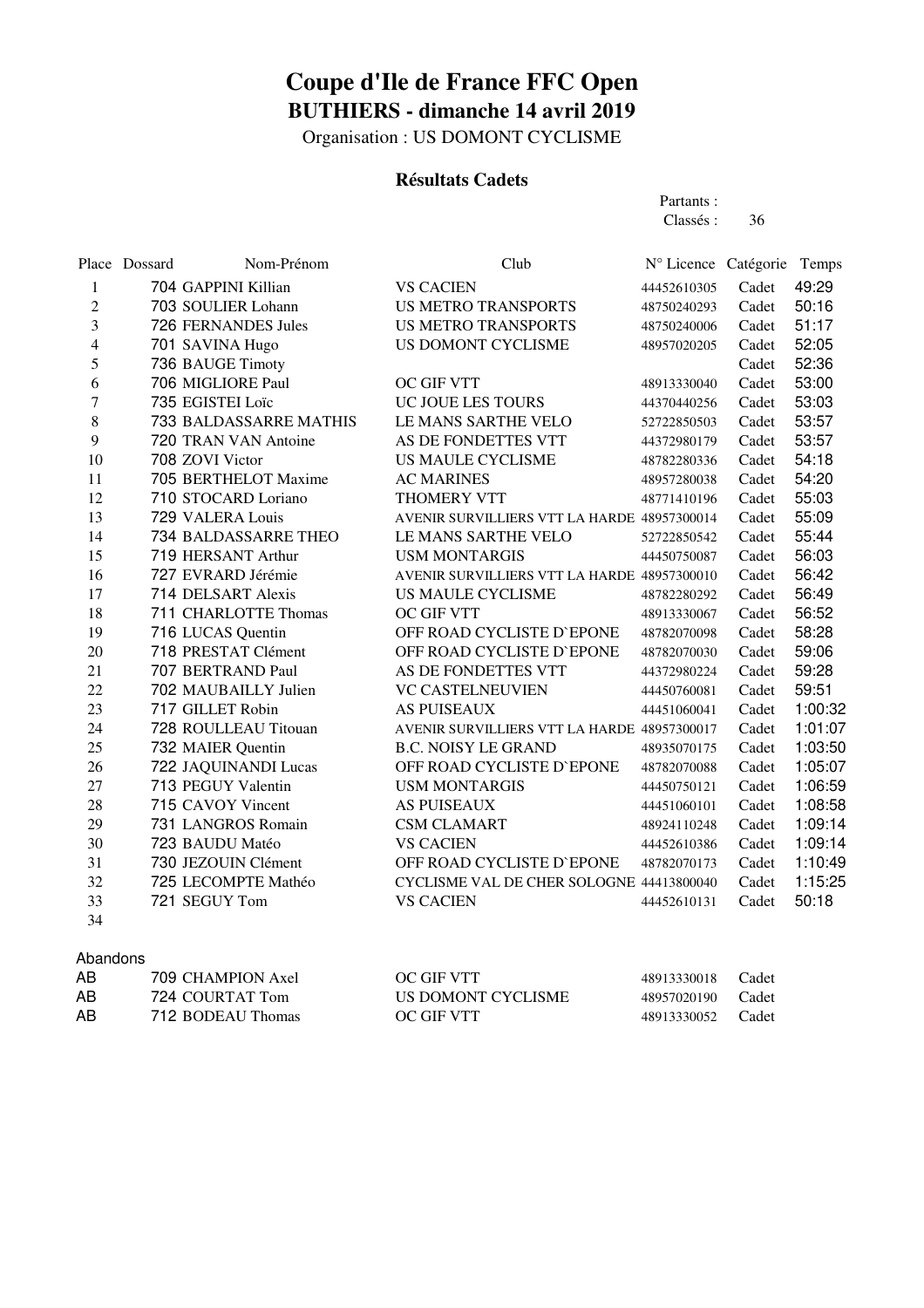Organisation : US DOMONT CYCLISME

#### **Résultats Cadets**

Partants : Classés : 36

|                | Place Dossard | Nom-Prénom             | Club                                        | Nº Licence Catégorie |       | Temps   |
|----------------|---------------|------------------------|---------------------------------------------|----------------------|-------|---------|
| 1              |               | 704 GAPPINI Killian    | <b>VS CACIEN</b>                            | 44452610305          | Cadet | 49:29   |
| $\overline{c}$ |               | 703 SOULIER Lohann     | <b>US METRO TRANSPORTS</b>                  | 48750240293          | Cadet | 50:16   |
| 3              |               | 726 FERNANDES Jules    | <b>US METRO TRANSPORTS</b>                  | 48750240006          | Cadet | 51:17   |
| $\overline{4}$ |               | 701 SAVINA Hugo        | US DOMONT CYCLISME                          | 48957020205          | Cadet | 52:05   |
| 5              |               | 736 BAUGE Timoty       |                                             |                      | Cadet | 52:36   |
| 6              |               | 706 MIGLIORE Paul      | <b>OC GIF VTT</b>                           | 48913330040          | Cadet | 53:00   |
| 7              |               | 735 EGISTEI Loïc       | UC JOUE LES TOURS                           | 44370440256          | Cadet | 53:03   |
| 8              |               | 733 BALDASSARRE MATHIS | LE MANS SARTHE VELO                         | 52722850503          | Cadet | 53:57   |
| 9              |               | 720 TRAN VAN Antoine   | AS DE FONDETTES VTT                         | 44372980179          | Cadet | 53:57   |
| 10             |               | 708 ZOVI Victor        | <b>US MAULE CYCLISME</b>                    | 48782280336          | Cadet | 54:18   |
| 11             |               | 705 BERTHELOT Maxime   | <b>AC MARINES</b>                           | 48957280038          | Cadet | 54:20   |
| 12             |               | 710 STOCARD Loriano    | THOMERY VTT                                 | 48771410196          | Cadet | 55:03   |
| 13             |               | 729 VALERA Louis       | AVENIR SURVILLIERS VTT LA HARDE 48957300014 |                      | Cadet | 55:09   |
| 14             |               | 734 BALDASSARRE THEO   | LE MANS SARTHE VELO                         | 52722850542          | Cadet | 55:44   |
| 15             |               | 719 HERSANT Arthur     | <b>USM MONTARGIS</b>                        | 44450750087          | Cadet | 56:03   |
| 16             |               | 727 EVRARD Jérémie     | AVENIR SURVILLIERS VTT LA HARDE 48957300010 |                      | Cadet | 56:42   |
| 17             |               | 714 DELSART Alexis     | <b>US MAULE CYCLISME</b>                    | 48782280292          | Cadet | 56:49   |
| 18             |               | 711 CHARLOTTE Thomas   | OC GIF VTT                                  | 48913330067          | Cadet | 56:52   |
| 19             |               | 716 LUCAS Quentin      | OFF ROAD CYCLISTE D'EPONE                   | 48782070098          | Cadet | 58:28   |
| 20             |               | 718 PRESTAT Clément    | OFF ROAD CYCLISTE D'EPONE                   | 48782070030          | Cadet | 59:06   |
| 21             |               | 707 BERTRAND Paul      | AS DE FONDETTES VTT                         | 44372980224          | Cadet | 59:28   |
| 22             |               | 702 MAUBAILLY Julien   | <b>VC CASTELNEUVIEN</b>                     | 44450760081          | Cadet | 59:51   |
| 23             |               | 717 GILLET Robin       | <b>AS PUISEAUX</b>                          | 44451060041          | Cadet | 1:00:32 |
| 24             |               | 728 ROULLEAU Titouan   | AVENIR SURVILLIERS VTT LA HARDE 48957300017 |                      | Cadet | 1:01:07 |
| 25             |               | 732 MAIER Quentin      | <b>B.C. NOISY LE GRAND</b>                  | 48935070175          | Cadet | 1:03:50 |
| 26             |               | 722 JAQUINANDI Lucas   | OFF ROAD CYCLISTE D'EPONE                   | 48782070088          | Cadet | 1:05:07 |
| 27             |               | 713 PEGUY Valentin     | <b>USM MONTARGIS</b>                        | 44450750121          | Cadet | 1:06:59 |
| 28             |               | 715 CAVOY Vincent      | <b>AS PUISEAUX</b>                          | 44451060101          | Cadet | 1:08:58 |
| 29             |               | 731 LANGROS Romain     | <b>CSM CLAMART</b>                          | 48924110248          | Cadet | 1:09:14 |
| 30             |               | 723 BAUDU Matéo        | <b>VS CACIEN</b>                            | 44452610386          | Cadet | 1:09:14 |
| 31             |               | 730 JEZOUIN Clément    | OFF ROAD CYCLISTE D'EPONE                   | 48782070173          | Cadet | 1:10:49 |
| 32             |               | 725 LECOMPTE Mathéo    | CYCLISME VAL DE CHER SOLOGNE 44413800040    |                      | Cadet | 1:15:25 |
| 33             |               | 721 SEGUY Tom          | <b>VS CACIEN</b>                            | 44452610131          | Cadet | 50:18   |
| 34             |               |                        |                                             |                      |       |         |

#### Abandons

| AB | 709 CHAMPION Axel | <b>OC GIF VTT</b>  | 48913330018       | Cadet |
|----|-------------------|--------------------|-------------------|-------|
| AB | 724 COURTAT Tom   | US DOMONT CYCLISME | 48957020190 Cadet |       |
| AB | 712 BODEAU Thomas | <b>OC GIF VTT</b>  | 48913330052 Cadet |       |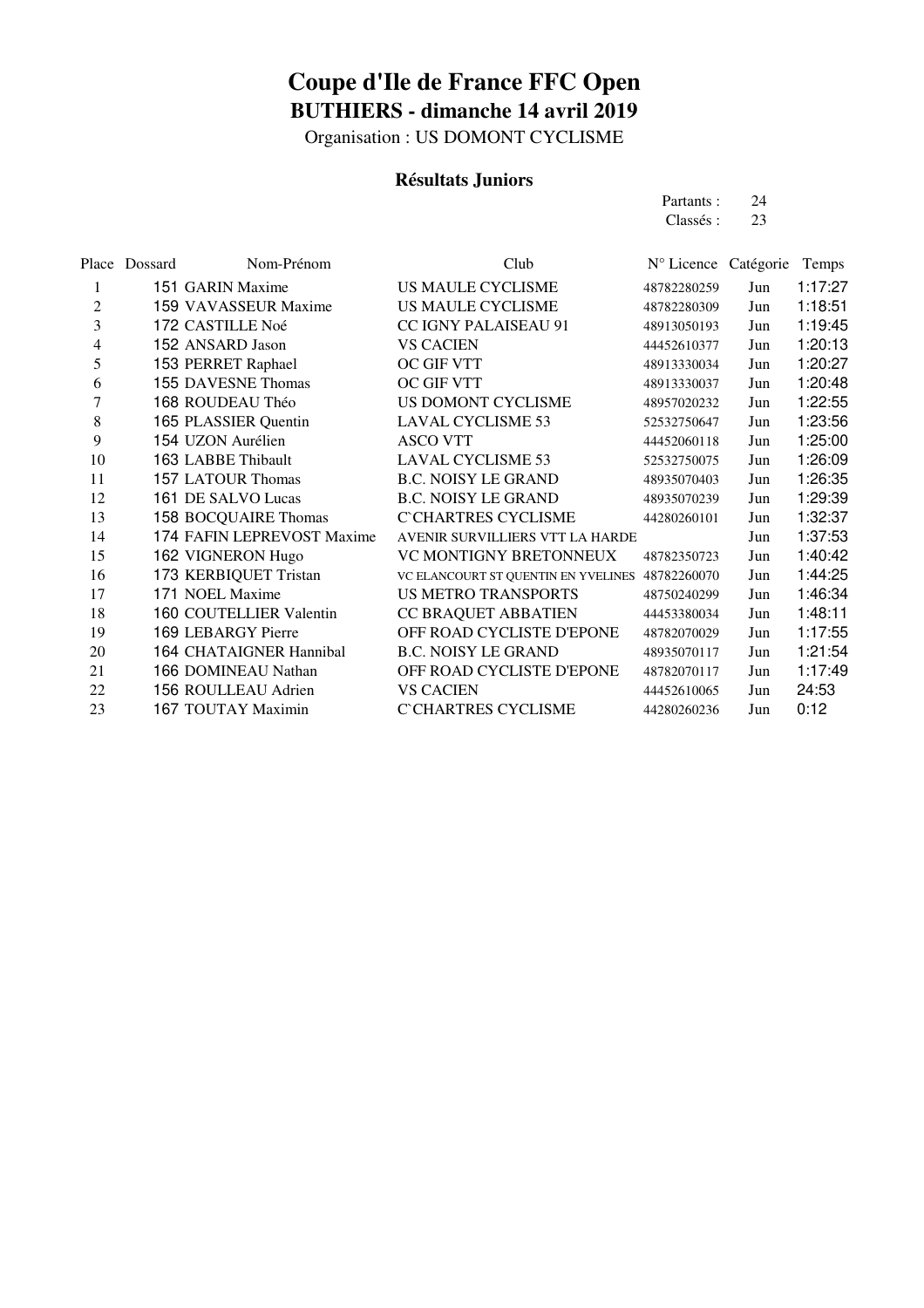Organisation : US DOMONT CYCLISME

#### **Résultats Juniors**

| Partants: | 24 |
|-----------|----|
| Classés : | 23 |

|    | Place Dossard | Nom-Prénom                 | Club                                | N° Licence Catégorie |     | Temps   |
|----|---------------|----------------------------|-------------------------------------|----------------------|-----|---------|
| 1  |               | 151 GARIN Maxime           | US MAULE CYCLISME                   | 48782280259          | Jun | 1:17:27 |
| 2  |               | 159 VAVASSEUR Maxime       | US MAULE CYCLISME                   | 48782280309          | Jun | 1:18:51 |
| 3  |               | 172 CASTILLE Noé           | CC IGNY PALAISEAU 91                | 48913050193          | Jun | 1:19:45 |
| 4  |               | 152 ANSARD Jason           | <b>VS CACIEN</b>                    | 44452610377          | Jun | 1:20:13 |
| 5  |               | 153 PERRET Raphael         | OC GIF VTT                          | 48913330034          | Jun | 1:20:27 |
| 6  |               | 155 DAVESNE Thomas         | OC GIF VTT                          | 48913330037          | Jun | 1:20:48 |
| 7  |               | 168 ROUDEAU Théo           | US DOMONT CYCLISME                  | 48957020232          | Jun | 1:22:55 |
| 8  |               | 165 PLASSIER Quentin       | <b>LAVAL CYCLISME 53</b>            | 52532750647          | Jun | 1:23:56 |
| 9  |               | 154 UZON Aurélien          | <b>ASCO VTT</b>                     | 44452060118          | Jun | 1:25:00 |
| 10 |               | 163 LABBE Thibault         | <b>LAVAL CYCLISME 53</b>            | 52532750075          | Jun | 1:26:09 |
| 11 |               | 157 LATOUR Thomas          | <b>B.C. NOISY LE GRAND</b>          | 48935070403          | Jun | 1:26:35 |
| 12 |               | 161 DE SALVO Lucas         | <b>B.C. NOISY LE GRAND</b>          | 48935070239          | Jun | 1:29:39 |
| 13 |               | 158 BOCQUAIRE Thomas       | <b>C'CHARTRES CYCLISME</b>          | 44280260101          | Jun | 1:32:37 |
| 14 |               | 174 FAFIN LEPREVOST Maxime | AVENIR SURVILLIERS VTT LA HARDE     |                      | Jun | 1:37:53 |
| 15 |               | 162 VIGNERON Hugo          | VC MONTIGNY BRETONNEUX              | 48782350723          | Jun | 1:40:42 |
| 16 |               | 173 KERBIQUET Tristan      | VC ELANCOURT ST QUENTIN EN YVELINES | 48782260070          | Jun | 1:44:25 |
| 17 |               | 171 NOEL Maxime            | <b>US METRO TRANSPORTS</b>          | 48750240299          | Jun | 1:46:34 |
| 18 |               | 160 COUTELLIER Valentin    | CC BRAQUET ABBATIEN                 | 44453380034          | Jun | 1:48:11 |
| 19 |               | 169 LEBARGY Pierre         | OFF ROAD CYCLISTE D'EPONE           | 48782070029          | Jun | 1:17:55 |
| 20 |               | 164 CHATAIGNER Hannibal    | <b>B.C. NOISY LE GRAND</b>          | 48935070117          | Jun | 1:21:54 |
| 21 |               | 166 DOMINEAU Nathan        | OFF ROAD CYCLISTE D'EPONE           | 48782070117          | Jun | 1:17:49 |
| 22 |               | 156 ROULLEAU Adrien        | <b>VS CACIEN</b>                    | 44452610065          | Jun | 24:53   |
| 23 |               | 167 TOUTAY Maximin         | C`CHARTRES CYCLISME                 | 44280260236          | Jun | 0:12    |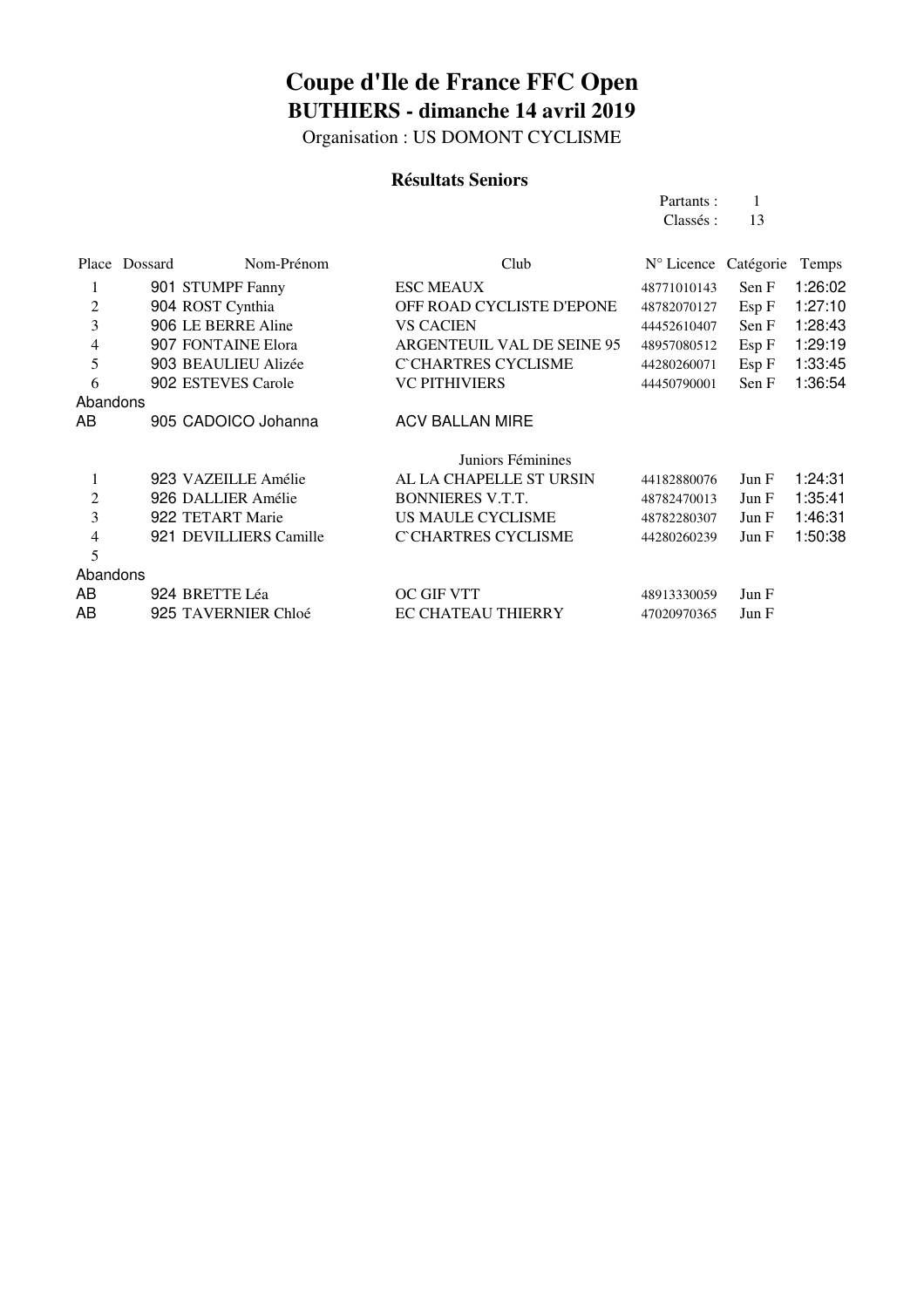Organisation : US DOMONT CYCLISME

#### **Résultats Seniors**

| Partants: |    |
|-----------|----|
| Classés : | 13 |

|                | Place Dossard | Nom-Prénom             | Club                       | N° Licence Catégorie |       | Temps   |
|----------------|---------------|------------------------|----------------------------|----------------------|-------|---------|
| 1              |               | 901 STUMPF Fanny       | <b>ESC MEAUX</b>           | 48771010143          | Sen F | 1:26:02 |
| $\overline{2}$ |               | 904 ROST Cynthia       | OFF ROAD CYCLISTE D'EPONE  | 48782070127          | Esp F | 1:27:10 |
| 3              |               | 906 LE BERRE Aline     | <b>VS CACIEN</b>           | 44452610407          | Sen F | 1:28:43 |
| $\overline{4}$ |               | 907 FONTAINE Elora     | ARGENTEUIL VAL DE SEINE 95 | 48957080512          | Esp F | 1:29:19 |
| 5              |               | 903 BEAULIEU Alizée    | <b>C'CHARTRES CYCLISME</b> | 44280260071          | Esp F | 1:33:45 |
| 6              |               | 902 ESTEVES Carole     | <b>VC PITHIVIERS</b>       | 44450790001          | Sen F | 1:36:54 |
| Abandons       |               |                        |                            |                      |       |         |
| AB             |               | 905 CADOICO Johanna    | <b>ACV BALLAN MIRE</b>     |                      |       |         |
|                |               |                        |                            |                      |       |         |
|                |               |                        | Juniors Féminines          |                      |       |         |
| $\mathbf{1}$   |               | 923 VAZEILLE Amélie    | AL LA CHAPELLE ST URSIN    | 44182880076          | Jun F | 1:24:31 |
| $\mathfrak{2}$ |               | 926 DALLIER Amélie     | <b>BONNIERES V.T.T.</b>    | 48782470013          | Jun F | 1:35:41 |
| 3              |               | 922 TETART Marie       | US MAULE CYCLISME          | 48782280307          | Jun F | 1:46:31 |
| $\overline{4}$ |               | 921 DEVILLIERS Camille | <b>C`CHARTRES CYCLISME</b> | 44280260239          | Jun F | 1:50:38 |
| 5              |               |                        |                            |                      |       |         |
| Abandons       |               |                        |                            |                      |       |         |
| AB             |               | 924 BRETTE Léa         | <b>OC GIF VTT</b>          | 48913330059          | Jun F |         |
| AB             |               | 925 TAVERNIER Chloé    | <b>EC CHATEAU THIERRY</b>  | 47020970365          | Jun F |         |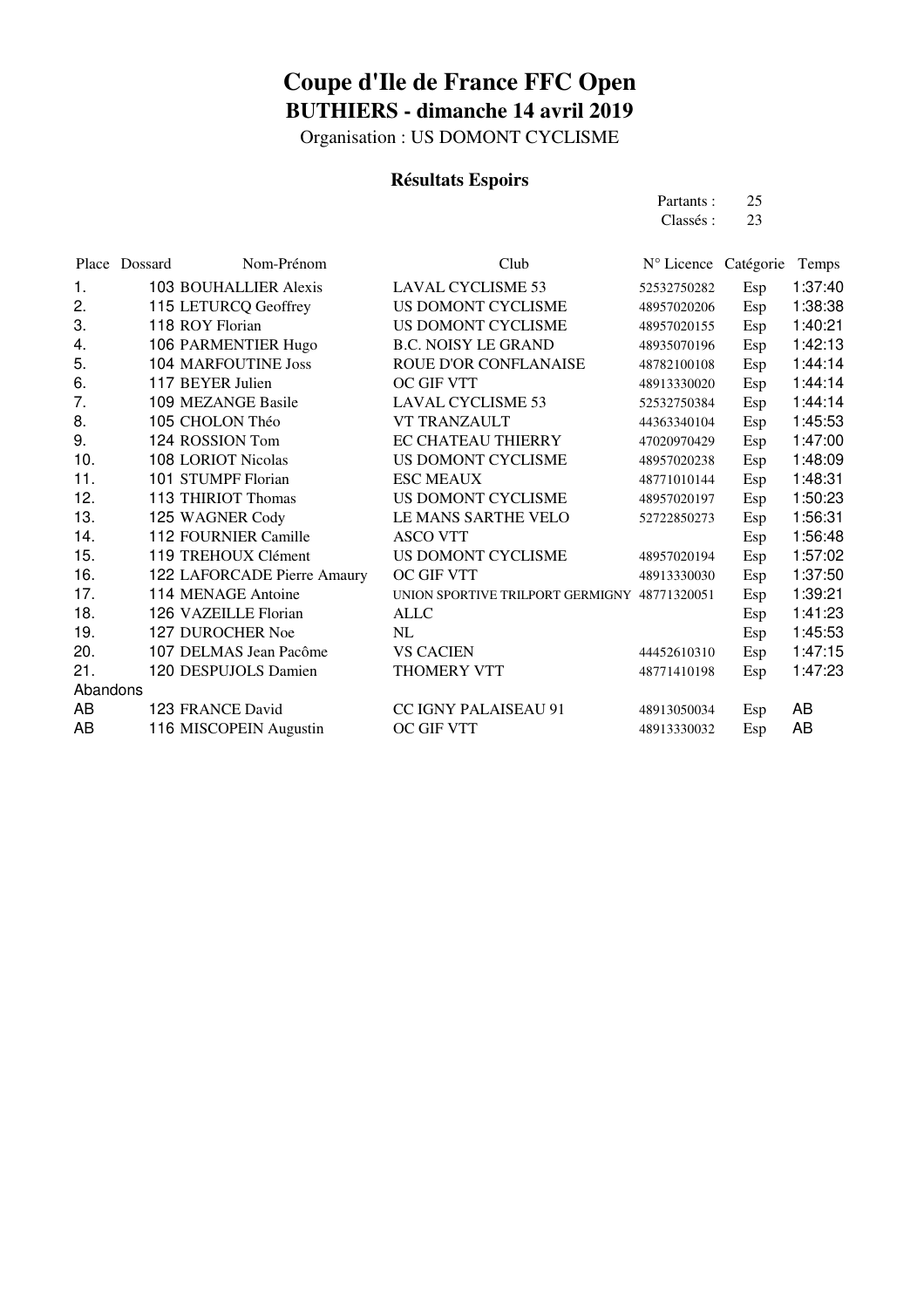Organisation : US DOMONT CYCLISME

#### **Résultats Espoirs**

| Partants: | 25 |
|-----------|----|
| Classés : | 23 |

|          | Nom-Prénom                   | Club                                         | N° Licence Catégorie |     | Temps   |
|----------|------------------------------|----------------------------------------------|----------------------|-----|---------|
| 1.       | <b>103 BOUHALLIER Alexis</b> | <b>LAVAL CYCLISME 53</b>                     | 52532750282          | Esp | 1:37:40 |
| 2.       | 115 LETURCQ Geoffrey         | US DOMONT CYCLISME                           | 48957020206          | Esp | 1:38:38 |
| 3.       | 118 ROY Florian              | US DOMONT CYCLISME                           | 48957020155          | Esp | 1:40:21 |
| 4.       | 106 PARMENTIER Hugo          | <b>B.C. NOISY LE GRAND</b>                   | 48935070196          | Esp | 1:42:13 |
| 5.       | <b>104 MARFOUTINE Joss</b>   | ROUE D'OR CONFLANAISE                        | 48782100108          | Esp | 1:44:14 |
| 6.       | 117 BEYER Julien             | <b>OC GIF VTT</b>                            | 48913330020          | Esp | 1:44:14 |
| 7.       | 109 MEZANGE Basile           | <b>LAVAL CYCLISME 53</b>                     | 52532750384          | Esp | 1:44:14 |
| 8.       | 105 CHOLON Théo              | <b>VT TRANZAULT</b>                          | 44363340104          | Esp | 1:45:53 |
| 9.       | 124 ROSSION Tom              | <b>EC CHATEAU THIERRY</b>                    | 47020970429          | Esp | 1:47:00 |
| 10.      | 108 LORIOT Nicolas           | <b>US DOMONT CYCLISME</b>                    | 48957020238          | Esp | 1:48:09 |
| 11.      | 101 STUMPF Florian           | <b>ESC MEAUX</b>                             | 48771010144          | Esp | 1:48:31 |
| 12.      | 113 THIRIOT Thomas           | US DOMONT CYCLISME                           | 48957020197          | Esp | 1:50:23 |
| 13.      | 125 WAGNER Cody              | LE MANS SARTHE VELO                          | 52722850273          | Esp | 1:56:31 |
| 14.      | 112 FOURNIER Camille         | <b>ASCO VTT</b>                              |                      | Esp | 1:56:48 |
| 15.      | 119 TREHOUX Clément          | US DOMONT CYCLISME                           | 48957020194          | Esp | 1:57:02 |
| 16.      | 122 LAFORCADE Pierre Amaury  | OC GIF VTT                                   | 48913330030          | Esp | 1:37:50 |
| 17.      | 114 MENAGE Antoine           | UNION SPORTIVE TRILPORT GERMIGNY 48771320051 |                      | Esp | 1:39:21 |
| 18.      | 126 VAZEILLE Florian         | <b>ALLC</b>                                  |                      | Esp | 1:41:23 |
| 19.      | 127 DUROCHER Noe             | NL                                           |                      | Esp | 1:45:53 |
| 20.      | 107 DELMAS Jean Pacôme       | <b>VS CACIEN</b>                             | 44452610310          | Esp | 1:47:15 |
| 21.      | 120 DESPUJOLS Damien         | THOMERY VTT                                  | 48771410198          | Esp | 1:47:23 |
| Abandons |                              |                                              |                      |     |         |
| AB       | 123 FRANCE David             | CC IGNY PALAISEAU 91                         | 48913050034          | Esp | AB      |
| AB       | 116 MISCOPEIN Augustin       | OC GIF VTT                                   | 48913330032          | Esp | AB      |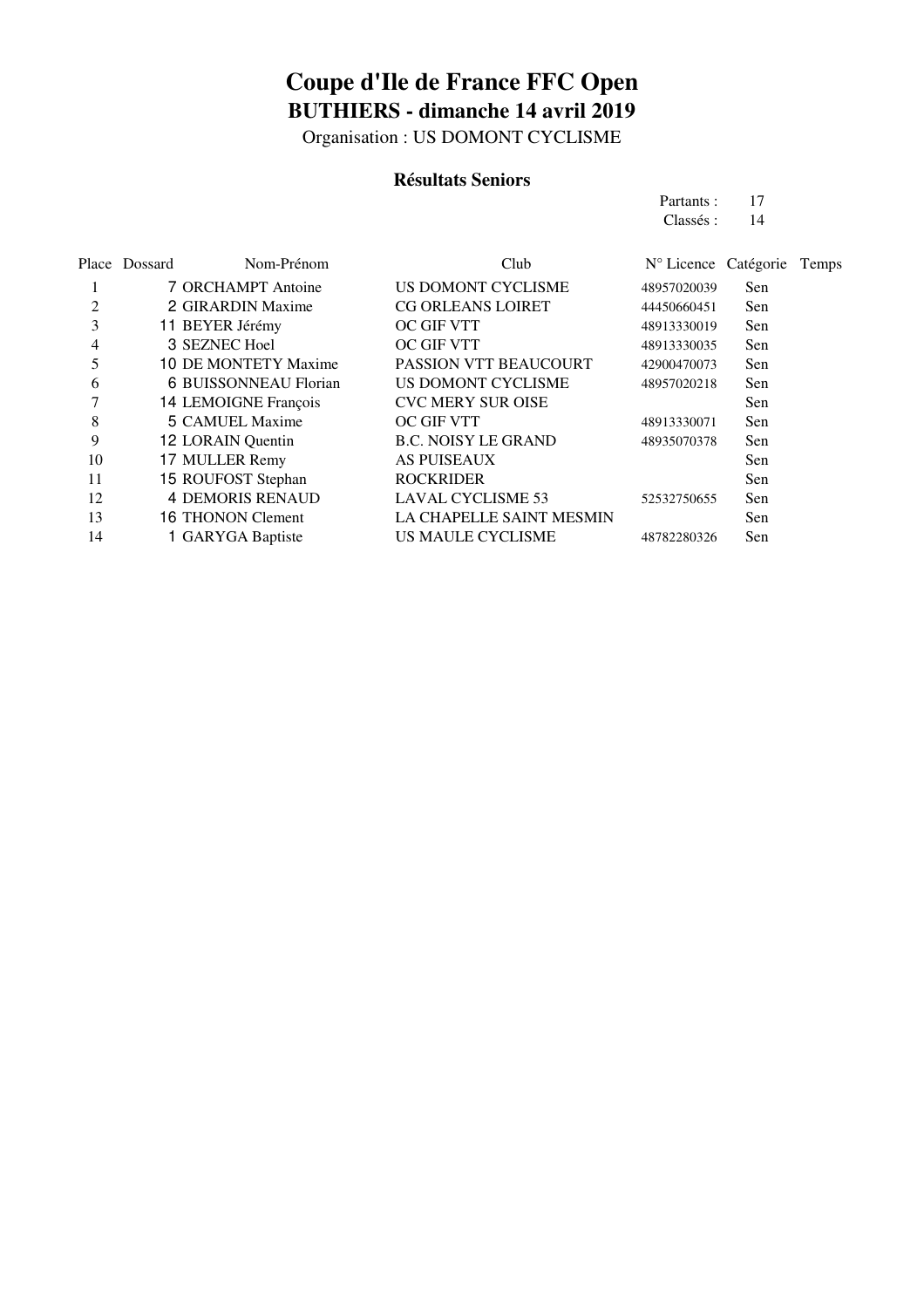Organisation : US DOMONT CYCLISME

#### **Résultats Seniors**

| 17 |  |
|----|--|
| 14 |  |
|    |  |
|    |  |

|                | Place Dossard | Nom-Prénom              | Club                         | N° Licence Catégorie |     | Temps |
|----------------|---------------|-------------------------|------------------------------|----------------------|-----|-------|
|                |               | 7 ORCHAMPT Antoine      | US DOMONT CYCLISME           | 48957020039          | Sen |       |
| $\overline{2}$ |               | 2 GIRARDIN Maxime       | <b>CG ORLEANS LOIRET</b>     | 44450660451          | Sen |       |
| 3              |               | 11 BEYER Jérémy         | <b>OC GIF VTT</b>            | 48913330019          | Sen |       |
| 4              |               | 3 SEZNEC Hoel           | OC GIF VTT                   | 48913330035          | Sen |       |
| 5              |               | 10 DE MONTETY Maxime    | <b>PASSION VTT BEAUCOURT</b> | 42900470073          | Sen |       |
| 6              |               | 6 BUISSONNEAU Florian   | US DOMONT CYCLISME           | 48957020218          | Sen |       |
|                |               | 14 LEMOIGNE François    | <b>CVC MERY SUR OISE</b>     |                      | Sen |       |
| 8              |               | 5 CAMUEL Maxime         | <b>OC GIF VTT</b>            | 48913330071          | Sen |       |
| 9              |               | 12 LORAIN Quentin       | <b>B.C. NOISY LE GRAND</b>   | 48935070378          | Sen |       |
| 10             |               | 17 MULLER Remy          | <b>AS PUISEAUX</b>           |                      | Sen |       |
| 11             |               | 15 ROUFOST Stephan      | <b>ROCKRIDER</b>             |                      | Sen |       |
| 12             |               | <b>4 DEMORIS RENAUD</b> | <b>LAVAL CYCLISME 53</b>     | 52532750655          | Sen |       |
| 13             |               | 16 THONON Clement       | LA CHAPELLE SAINT MESMIN     |                      | Sen |       |
| 14             |               | 1 GARYGA Baptiste       | US MAULE CYCLISME            | 48782280326          | Sen |       |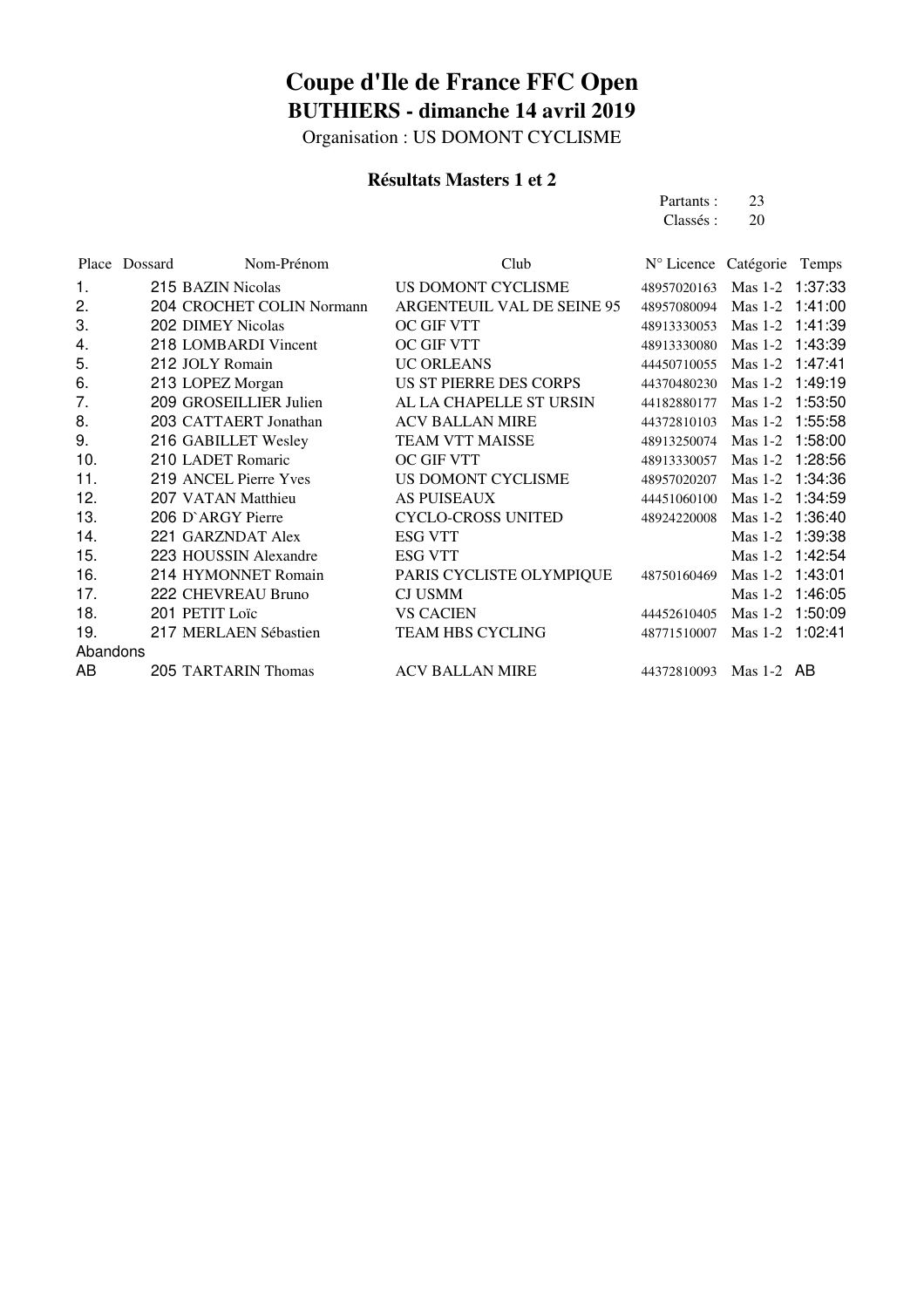Organisation : US DOMONT CYCLISME

#### **Résultats Masters 1 et 2**

Partants : 23<br>Classés : 20 Classés :

|          | Place Dossard | Nom-Prénom                | Club                       | N° Licence Catégorie Temps |                 |         |
|----------|---------------|---------------------------|----------------------------|----------------------------|-----------------|---------|
| 1.       |               | 215 BAZIN Nicolas         | US DOMONT CYCLISME         | 48957020163                | Mas 1-2 1:37:33 |         |
| 2.       |               | 204 CROCHET COLIN Normann | ARGENTEUIL VAL DE SEINE 95 | 48957080094                | $Mas 1-2$       | 1:41:00 |
| 3.       |               | 202 DIMEY Nicolas         | OC GIF VTT                 | 48913330053                | Mas 1-2 1:41:39 |         |
| 4.       |               | 218 LOMBARDI Vincent      | OC GIF VTT                 | 48913330080                | Mas 1-2 1:43:39 |         |
| 5.       |               | 212 JOLY Romain           | <b>UC ORLEANS</b>          | 44450710055                | $Mas 1-2$       | 1:47:41 |
| 6.       |               | 213 LOPEZ Morgan          | US ST PIERRE DES CORPS     | 44370480230                | $Mas 1-2$       | 1:49:19 |
| 7.       |               | 209 GROSEILLIER Julien    | AL LA CHAPELLE ST URSIN    | 44182880177                | Mas 1-2 1:53:50 |         |
| 8.       |               | 203 CATTAERT Jonathan     | <b>ACV BALLAN MIRE</b>     | 44372810103                | $Mas 1-2$       | 1:55:58 |
| 9.       |               | 216 GABILLET Wesley       | <b>TEAM VTT MAISSE</b>     | 48913250074                | $Mas 1-2$       | 1:58:00 |
| 10.      |               | 210 LADET Romaric         | OC GIF VTT                 | 48913330057                | Mas 1-2 1:28:56 |         |
| 11.      |               | 219 ANCEL Pierre Yves     | US DOMONT CYCLISME         | 48957020207                | $Mas 1-2$       | 1:34:36 |
| 12.      |               | 207 VATAN Matthieu        | <b>AS PUISEAUX</b>         | 44451060100                | $Mas 1-2$       | 1:34:59 |
| 13.      |               | 206 D'ARGY Pierre         | <b>CYCLO-CROSS UNITED</b>  | 48924220008                | $Mas 1-2$       | 1:36:40 |
| 14.      |               | 221 GARZNDAT Alex         | <b>ESG VTT</b>             |                            | $Mas 1-2$       | 1:39:38 |
| 15.      |               | 223 HOUSSIN Alexandre     | <b>ESG VTT</b>             |                            | Mas 1-2 1:42:54 |         |
| 16.      |               | 214 HYMONNET Romain       | PARIS CYCLISTE OLYMPIQUE   | 48750160469                | Mas 1-2 1:43:01 |         |
| 17.      |               | 222 CHEVREAU Bruno        | <b>CJ USMM</b>             |                            | $Mas 1-2$       | 1:46:05 |
| 18.      |               | 201 PETIT Loïc            | <b>VS CACIEN</b>           | 44452610405                | $Mas 1-2$       | 1:50:09 |
| 19.      |               | 217 MERLAEN Sébastien     | <b>TEAM HBS CYCLING</b>    | 48771510007                | Mas 1-2 1:02:41 |         |
| Abandons |               |                           |                            |                            |                 |         |
| AB       |               | 205 TARTARIN Thomas       | <b>ACV BALLAN MIRE</b>     | 44372810093                | Mas $1-2$ AB    |         |
|          |               |                           |                            |                            |                 |         |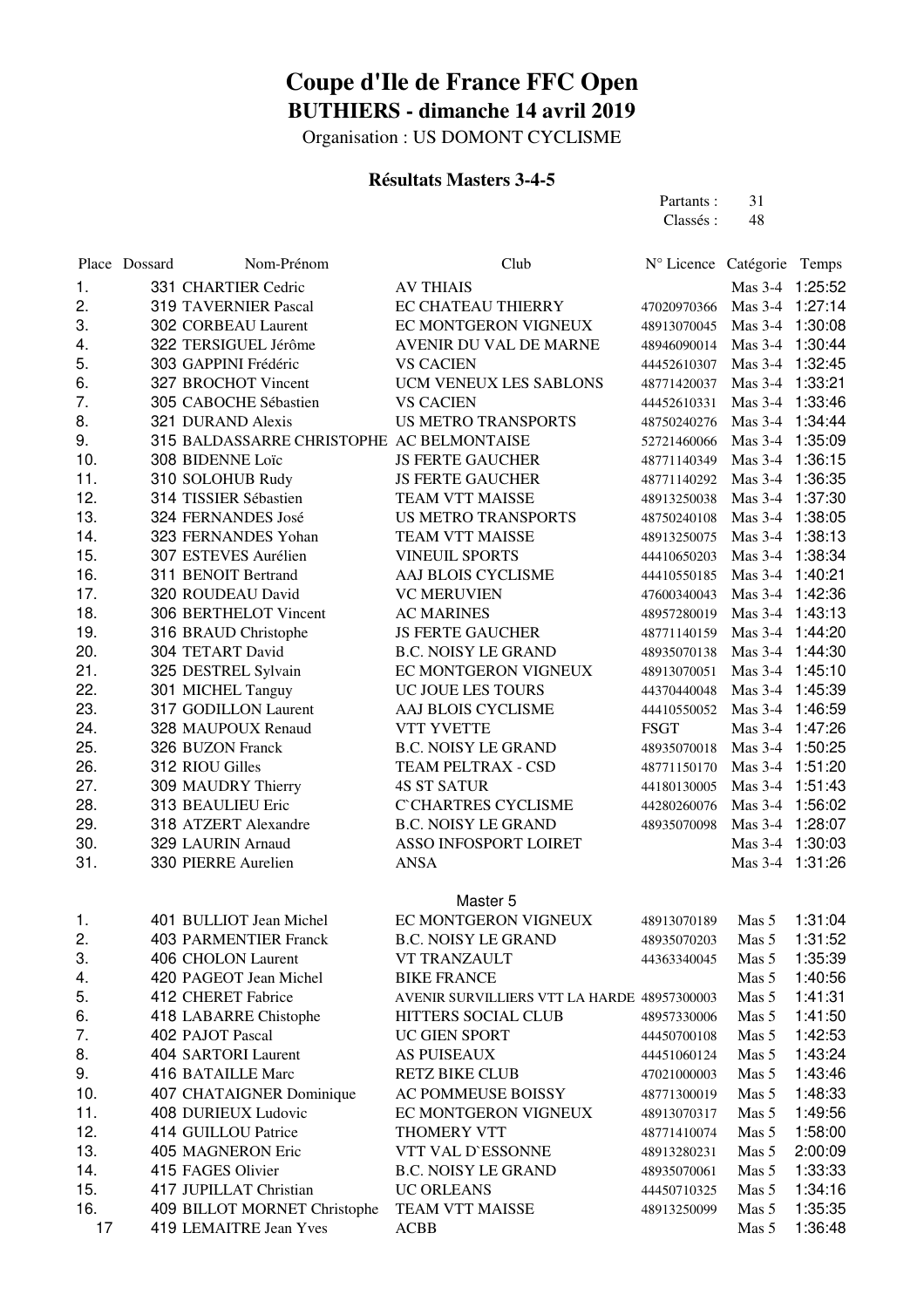Organisation : US DOMONT CYCLISME

#### **Résultats Masters 3-4-5**

| Partants : | 31 |
|------------|----|
| Classés :  | 48 |

|     | Place Dossard | Nom-Prénom                                | Club                                        | N° Licence Catégorie Temps  |                 |         |
|-----|---------------|-------------------------------------------|---------------------------------------------|-----------------------------|-----------------|---------|
| 1.  |               | 331 CHARTIER Cedric                       | <b>AV THIAIS</b>                            |                             | Mas 3-4 1:25:52 |         |
| 2.  |               | <b>319 TAVERNIER Pascal</b>               | EC CHATEAU THIERRY                          | 47020970366                 | Mas 3-4 1:27:14 |         |
| 3.  |               | 302 CORBEAU Laurent                       | EC MONTGERON VIGNEUX                        | 48913070045                 | Mas 3-4 1:30:08 |         |
| 4.  |               | 322 TERSIGUEL Jérôme                      | AVENIR DU VAL DE MARNE                      | 48946090014 Mas 3-4 1:30:44 |                 |         |
| 5.  |               | 303 GAPPINI Frédéric                      | <b>VS CACIEN</b>                            | 44452610307                 | Mas 3-4 1:32:45 |         |
| 6.  |               | 327 BROCHOT Vincent                       | UCM VENEUX LES SABLONS                      | 48771420037                 | Mas 3-4 1:33:21 |         |
| 7.  |               | 305 CABOCHE Sébastien                     | <b>VS CACIEN</b>                            | 44452610331 Mas 3-4 1:33:46 |                 |         |
| 8.  |               | 321 DURAND Alexis                         | <b>US METRO TRANSPORTS</b>                  | 48750240276 Mas 3-4 1:34:44 |                 |         |
| 9.  |               | 315 BALDASSARRE CHRISTOPHE AC BELMONTAISE |                                             | 52721460066 Mas 3-4 1:35:09 |                 |         |
| 10. |               | 308 BIDENNE Loïc                          | <b>JS FERTE GAUCHER</b>                     | 48771140349 Mas 3-4 1:36:15 |                 |         |
| 11. |               | 310 SOLOHUB Rudy                          | <b>JS FERTE GAUCHER</b>                     | 48771140292 Mas 3-4 1:36:35 |                 |         |
| 12. |               | 314 TISSIER Sébastien                     | TEAM VTT MAISSE                             | 48913250038                 | Mas 3-4 1:37:30 |         |
| 13. |               | 324 FERNANDES José                        | <b>US METRO TRANSPORTS</b>                  | 48750240108                 | Mas 3-4 1:38:05 |         |
| 14. |               | 323 FERNANDES Yohan                       | TEAM VTT MAISSE                             | 48913250075                 | $Mas 3-4$       | 1:38:13 |
| 15. |               | 307 ESTEVES Aurélien                      | <b>VINEUIL SPORTS</b>                       | 44410650203                 | $Mas 3-4$       | 1:38:34 |
| 16. |               | 311 BENOIT Bertrand                       | AAJ BLOIS CYCLISME                          | 44410550185                 | $Mas 3-4$       | 1:40:21 |
| 17. |               | 320 ROUDEAU David                         | <b>VC MERUVIEN</b>                          | 47600340043                 | Mas 3-4 1:42:36 |         |
| 18. |               | 306 BERTHELOT Vincent                     | <b>AC MARINES</b>                           | 48957280019                 | Mas 3-4 1:43:13 |         |
| 19. |               | 316 BRAUD Christophe                      | <b>JS FERTE GAUCHER</b>                     | 48771140159                 | Mas 3-4 1:44:20 |         |
| 20. |               | 304 TETART David                          | <b>B.C. NOISY LE GRAND</b>                  | 48935070138                 | Mas 3-4 1:44:30 |         |
| 21. |               | 325 DESTREL Sylvain                       | EC MONTGERON VIGNEUX                        | 48913070051                 | Mas 3-4 1:45:10 |         |
| 22. |               | 301 MICHEL Tanguy                         | UC JOUE LES TOURS                           | 44370440048                 | Mas 3-4 1:45:39 |         |
| 23. |               | 317 GODILLON Laurent                      | AAJ BLOIS CYCLISME                          | 44410550052                 | Mas 3-4 1:46:59 |         |
| 24. |               | 328 MAUPOUX Renaud                        | <b>VTT YVETTE</b>                           | <b>FSGT</b>                 | Mas 3-4 1:47:26 |         |
| 25. |               | 326 BUZON Franck                          | <b>B.C. NOISY LE GRAND</b>                  | 48935070018                 | Mas 3-4 1:50:25 |         |
| 26. |               | 312 RIOU Gilles                           | TEAM PELTRAX - CSD                          | 48771150170                 | Mas 3-4 1:51:20 |         |
| 27. |               | 309 MAUDRY Thierry                        | <b>4S ST SATUR</b>                          | 44180130005                 | Mas 3-4 1:51:43 |         |
| 28. |               | 313 BEAULIEU Eric                         | <b>C'CHARTRES CYCLISME</b>                  | 44280260076                 | Mas 3-4 1:56:02 |         |
| 29. |               | 318 ATZERT Alexandre                      | <b>B.C. NOISY LE GRAND</b>                  | 48935070098                 | Mas 3-4 1:28:07 |         |
| 30. |               | 329 LAURIN Arnaud                         | ASSO INFOSPORT LOIRET                       |                             | Mas 3-4 1:30:03 |         |
| 31. |               | 330 PIERRE Aurelien                       | <b>ANSA</b>                                 |                             | Mas 3-4 1:31:26 |         |
|     |               |                                           |                                             |                             |                 |         |
|     |               |                                           | Master 5                                    |                             |                 |         |
| 1.  |               | 401 BULLIOT Jean Michel                   | EC MONTGERON VIGNEUX                        | 48913070189                 | Mas 5           | 1:31:04 |
| 2.  |               | <b>403 PARMENTIER Franck</b>              | <b>B.C. NOISY LE GRAND</b>                  | 48935070203                 | Mas 5           | 1:31:52 |
| 3.  |               | 406 CHOLON Laurent                        | VT TRANZAULT                                | 44363340045                 | Mas 5           | 1:35:39 |
| 4.  |               | 420 PAGEOT Jean Michel                    | <b>BIKE FRANCE</b>                          |                             | Mas 5           | 1:40:56 |
| 5.  |               | 412 CHERET Fabrice                        | AVENIR SURVILLIERS VTT LA HARDE 48957300003 |                             | Mas 5           | 1:41:31 |
| 6.  |               | 418 LABARRE Chistophe                     | HITTERS SOCIAL CLUB                         | 48957330006                 | Mas 5           | 1:41:50 |
| 7.  |               | 402 PAJOT Pascal                          | UC GIEN SPORT                               | 44450700108                 | Mas 5           | 1:42:53 |
| 8.  |               | 404 SARTORI Laurent                       | <b>AS PUISEAUX</b>                          | 44451060124                 | Mas 5           | 1:43:24 |
| 9.  |               | 416 BATAILLE Marc                         | <b>RETZ BIKE CLUB</b>                       | 47021000003                 | Mas 5           | 1:43:46 |
| 10. |               | 407 CHATAIGNER Dominique                  | <b>AC POMMEUSE BOISSY</b>                   | 48771300019                 | Mas 5           | 1:48:33 |
| 11. |               | 408 DURIEUX Ludovic                       | EC MONTGERON VIGNEUX                        | 48913070317                 | Mas 5           | 1:49:56 |
| 12. |               | 414 GUILLOU Patrice                       | THOMERY VTT                                 | 48771410074                 | Mas 5           | 1:58:00 |
| 13. |               | 405 MAGNERON Eric                         | VTT VAL D'ESSONNE                           | 48913280231                 | Mas 5           | 2:00:09 |
| 14. |               | 415 FAGES Olivier                         | <b>B.C. NOISY LE GRAND</b>                  | 48935070061                 | Mas 5           | 1:33:33 |
| 15. |               | 417 JUPILLAT Christian                    | UC ORLEANS                                  | 44450710325                 | Mas 5           | 1:34:16 |
| 16. |               | 409 BILLOT MORNET Christophe              | TEAM VTT MAISSE                             | 48913250099                 | Mas 5           | 1:35:35 |
| 17  |               | 419 LEMAITRE Jean Yves                    | <b>ACBB</b>                                 |                             | Mas 5           | 1:36:48 |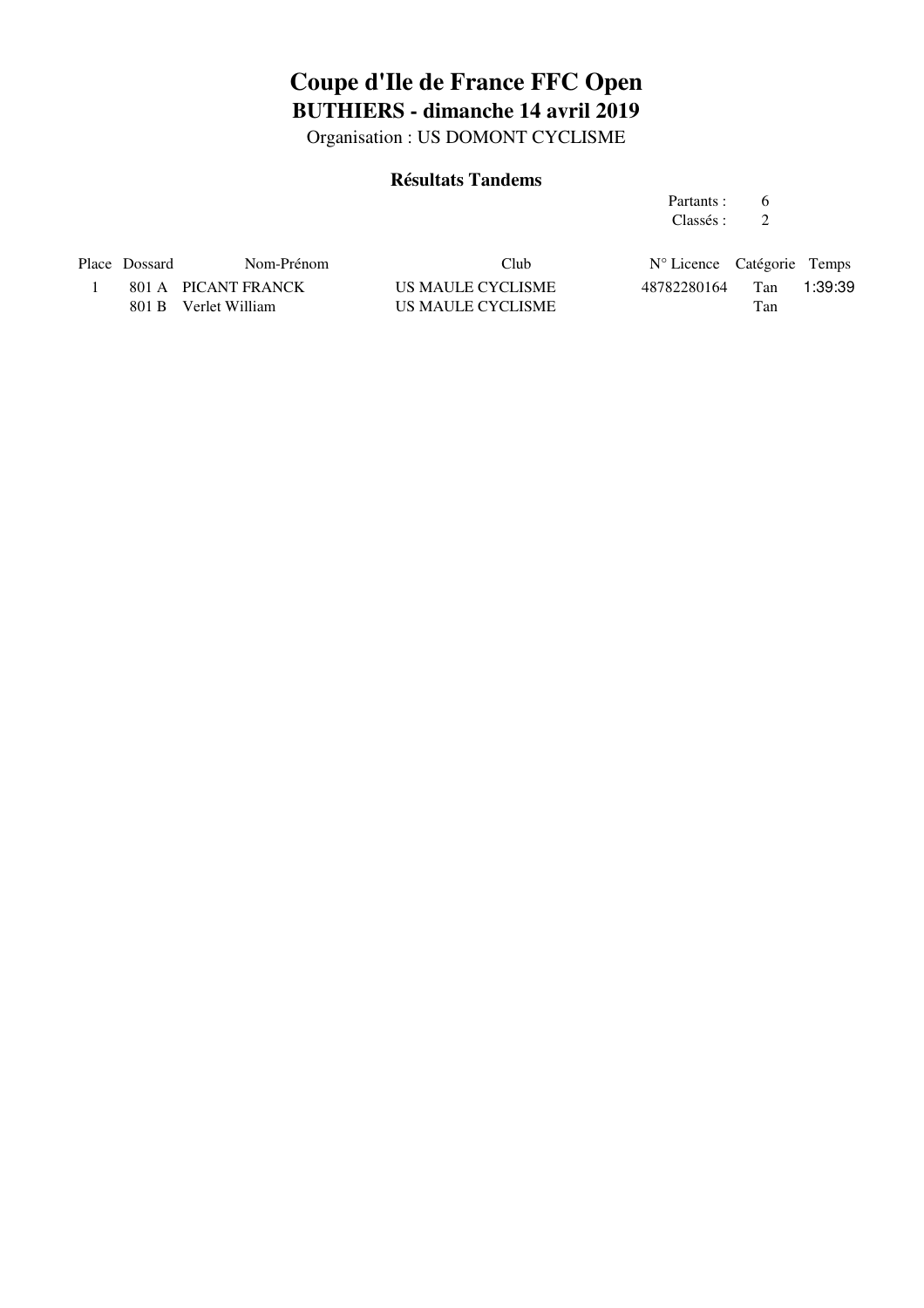Organisation : US DOMONT CYCLISME

#### **Résultats Tandems**

| Partants: | 6 |
|-----------|---|
| Classés : |   |

| Place Dossard | Nom-Prénom           | Club              | $N^{\circ}$ Licence Catégorie Temps |     |         |
|---------------|----------------------|-------------------|-------------------------------------|-----|---------|
|               | 801 A PICANT FRANCK  | US MAULE CYCLISME | 48782280164                         | Tan | 1:39:39 |
|               | 801 B Verlet William | US MAULE CYCLISME |                                     | Tan |         |